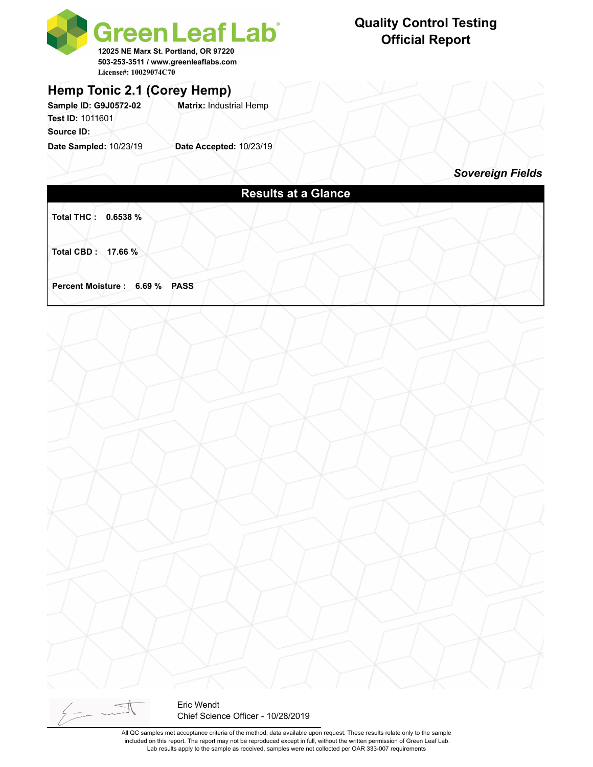

### **Hemp Tonic 2.1 (Corey Hemp)**

**Sample ID: G9J0572-02 Matrix:** Industrial Hemp **Test ID:** 1011601 **Source ID:** 

**Date Sampled:** 10/23/19 **Date Accepted:** 10/23/19

#### **Quality Control Testing Official Report**

*Sovereign Fields*

| <b>Results at a Glance</b>     |  |
|--------------------------------|--|
| Total THC: 0.6538 %            |  |
|                                |  |
| Total CBD: 17.66 %             |  |
|                                |  |
| Percent Moisture : 6.69 % PASS |  |
|                                |  |
|                                |  |
|                                |  |
|                                |  |
|                                |  |
|                                |  |
|                                |  |
|                                |  |
|                                |  |
|                                |  |
|                                |  |
|                                |  |
|                                |  |
|                                |  |
|                                |  |
|                                |  |
|                                |  |
|                                |  |
|                                |  |
|                                |  |
|                                |  |
|                                |  |

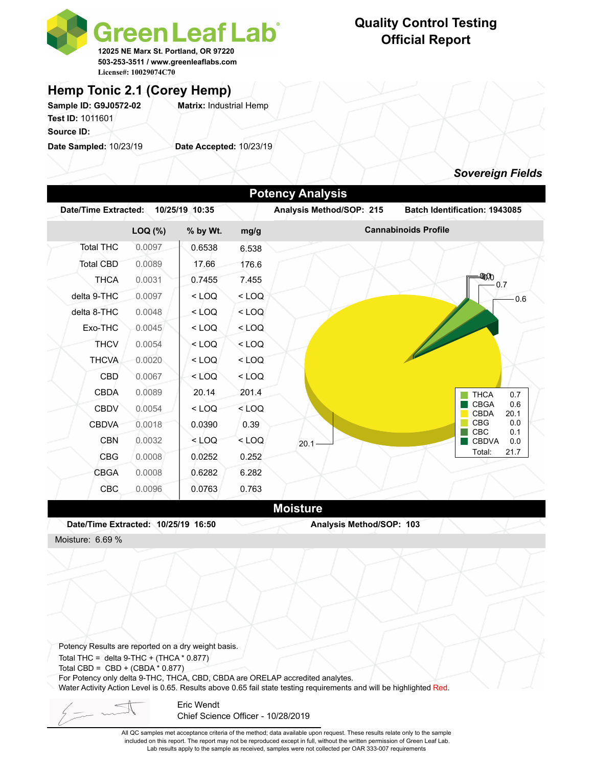

# **Official Report**

**Quality Control Testing**

#### **Hemp Tonic 2.1 (Corey Hemp)**

Sample ID: G9J0572-02 **Matrix: Industrial Hemp Test ID:** 1011601 **Source ID:** 

**Date Sampled:** 10/23/19 **Date Accepted:** 10/23/19

#### *Sovereign Fields*

|                  |         |          |         | Analysis Method/SOP: 215 |                                           |
|------------------|---------|----------|---------|--------------------------|-------------------------------------------|
|                  | LOQ (%) | % by Wt. | mg/g    |                          | <b>Cannabinoids Profile</b>               |
| <b>Total THC</b> | 0.0097  | 0.6538   | 6.538   |                          |                                           |
| <b>Total CBD</b> | 0.0089  | 17.66    | 176.6   |                          |                                           |
| <b>THCA</b>      | 0.0031  | 0.7455   | 7.455   |                          | -ΦΩΟ<br>0.7                               |
| delta 9-THC      | 0.0097  | $<$ LOQ  | $<$ LOQ |                          | 0.6                                       |
| delta 8-THC      | 0.0048  | $<$ LOQ  | $<$ LOQ |                          |                                           |
| Exo-THC          | 0.0045  | $<$ LOQ  | $<$ LOQ |                          |                                           |
| <b>THCV</b>      | 0.0054  | $<$ LOQ  | $<$ LOQ |                          |                                           |
| <b>THCVA</b>     | 0.0020  | $<$ LOQ  | $<$ LOQ |                          |                                           |
| <b>CBD</b>       | 0.0067  | $<$ LOQ  | $<$ LOQ |                          |                                           |
| <b>CBDA</b>      | 0.0089  | 20.14    | 201.4   |                          | <b>THCA</b><br>0.7                        |
| <b>CBDV</b>      | 0.0054  | $<$ LOQ  | $<$ LOQ |                          | <b>CBGA</b><br>0.6<br><b>CBDA</b><br>20.1 |
| <b>CBDVA</b>     | 0.0018  | 0.0390   | 0.39    |                          | 0.0<br><b>CBG</b><br>CBC<br>0.1           |
| <b>CBN</b>       | 0.0032  | $<$ LOQ  | $<$ LOQ | 20.1                     | <b>CBDVA</b><br>0.0                       |
| <b>CBG</b>       | 0.0008  | 0.0252   | 0.252   |                          | 21.7<br>Total:                            |
| <b>CBGA</b>      | 0.0008  | 0.6282   | 6.282   |                          |                                           |
| CBC              | 0.0096  | 0.0763   | 0.763   |                          |                                           |
|                  |         |          |         | <b>Moisture</b>          |                                           |

Total THC = delta  $9$ -THC + (THCA  $*$  0.877) Total CBD =  $CBD + (CBDA * 0.877)$ For Potency only delta 9-THC, THCA, CBD, CBDA are ORELAP accredited analytes. Water Activity Action Level is 0.65. Results above 0.65 fail state testing requirements and will be highlighted Red. Potency Results are reported on a dry weight basis.

Eric Wendt Chief Science Officer - 10/28/2019

All QC samples met acceptance criteria of the method; data available upon request. These results relate only to the sample included on this report. The report may not be reproduced except in full, without the written permission of Green Leaf Lab. Lab results apply to the sample as received, samples were not collected per OAR 333-007 requirements